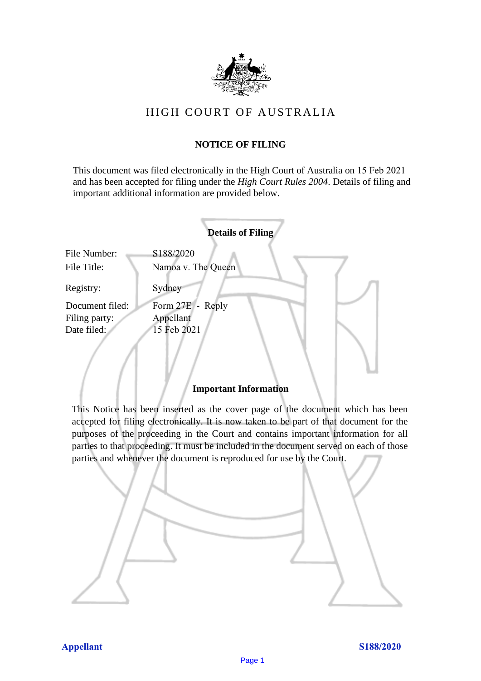

# HIGH COURT OF AU STRALIA HIGH COURT OF AUSTRALIA

## **NOTICE OF FILING** NOTICE OF FILING

This document was filed electronically in the High Court of Australia on 15 Feb 2021 and has been accepted for filing under the *High Court Rules 2004*. Details of filing and important additional information are provided below. important additional information are provided below.

|                 |                    | <b>Details of Filing</b> |  |
|-----------------|--------------------|--------------------------|--|
| File Number:    | S188/2020          |                          |  |
| File Title:     | Namoa v. The Queen |                          |  |
| Registry:       | Sydney             |                          |  |
| Document filed: | Form 27E - Reply   |                          |  |
| Filing party:   | Appellant          |                          |  |
| Date filed:     | 15 Feb 2021        |                          |  |
|                 |                    |                          |  |
|                 |                    |                          |  |

## **Important Information** Important Information

This Notice has been inserted as the cover page of the document which has been accepted for filing electronically. It is now taken to be part of that document for the purposes of the proceeding in the Court and contains important information for all parties to that proceeding. It must be included in the document served on each of those parties and whenever the document is reproduced for use by the Court. parties and whenever the document is reproduced for use by the Court

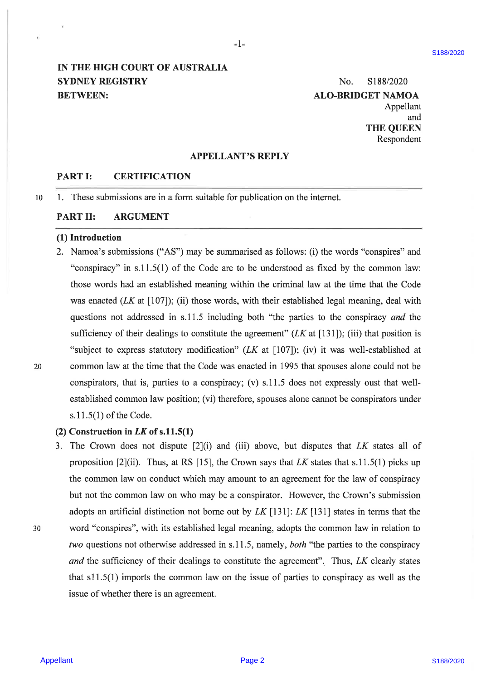## IN THE HIGH COURT OF AUSTRALIA SYDNEY REGISTRY No. 8188/2020 BETWEEN: ALO-BRIDGET NAMOA

Appellant and THE QUEEN Respondent

## APPELLANT'S REPLY

 $-1$  –

## PART I: CERTIFICATION

10 . These submissions are in a form suitable for publication on the internet.

## PART II: ARGUMENT

#### (1) Introduction

 $\overline{4}$ 

**EVTHE HIGH COURT OF AUSTRALIA** Summarity Summarity September S188/2020 SNM/2020 ALC-BHUDGET NAMEA<br>
SYDNET IS CRETIFICATION<br>
THE QUEENS TRIPLE TO THE CONTINUES ART EXTEND AND A SUPERIOR CONSULT TO CONSULT THE CONSULT CONT . Namoa's submissions ("AS") may be summarised as follows: (i) the words "conspires" and "conspiracy" in s.11.5(1) of the Code are to be understood as fixed by the common law: those words had an established meaning within the criminal law at the time that the Code was enacted  $(LK$  at  $[107]$ ; (ii) those words, with their established legal meaning, deal with questions not addressed in s.11.5 including both "the parties to the conspiracy and the sufficiency of their dealings to constitute the agreement" ( $LK$  at [131]); (iii) that position is "subject to express statutory modification" (LK at [107]); (iv) it was well-established at common law at the time that the Code was enacted in 1995 that spouses alone could not be conspirators, that is, parties to a conspiracy; (v) s.11.5 does not expressly oust that wellestablished common law position; (vi) therefore, spouses alone cannot be conspirators under s.11.5(1) of the Code.

## (2) Construction in  $LK$  of s.11.5(1)

3. The Crown does not dispute  $[2]$ (i) and (iii) above, but disputes that LK states all of proposition [2](ii). Thus, at RS [15], the Crown says that LK states that s.11.5(1) picks up the common law on conduct which may amount to an agreement for the law of conspiracy but not the common law on who may be a conspirator. However, the Crown's submission adopts an artificial distinction not borne out by LK [131]: LK [131] states in terms that the word "'conspires", with its established legal meaning, adopts the common law in relation to two questions not otherwise addressed in s.11.5, namely, both "the parties to the conspiracy and the sufficiency of their dealings to constitute the agreement". Thus, LK clearly states that s11.5(1) imports the common law on the issue of parties to conspiracy as well as the issue of whether there is an agreement.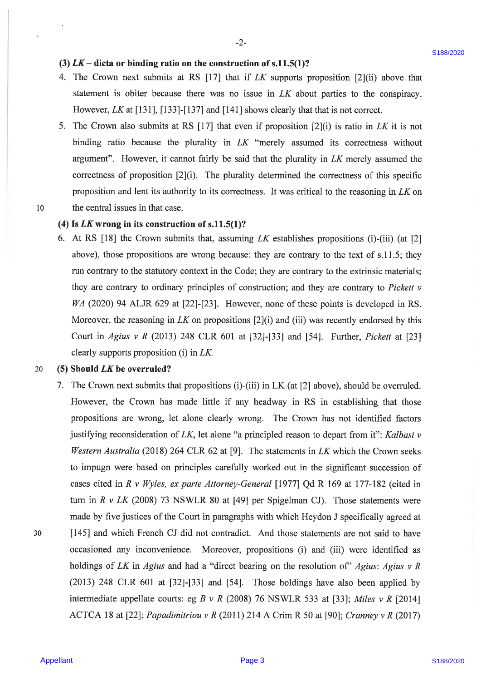## (3)  $LK -$  dicta or binding ratio on the construction of s.11.5(1)?

- 4. The Crown next submits at RS [17] that if ZK supports proposition [2](ii) above that statement is obiter because there was no issue in LK about parties to the conspiracy. However, LK at [131], [133]-[137] and [141] shows clearly that that is not correct.
- . The Crown also submits at RS [17] that even if proposition [2](i) is ratio in LK it is not binding ratio because the plurality in LK "merely assumed its correctness without argument". However, it cannot fairly be said that the plurality in LK merely assumed the correctness of proposition [2](i). The plurality determined the correctness of this specific proposition and lent its authority to its correctness. It was critical to the reasoning in  $LK$  on the central issues in that case.
- 10

#### (4) Is  $LK$  wrong in its construction of s.11.5(1)?

6. At RS [18] the Crown submits that, assuming LK establishes propositions (i)-(iii) (at [2] above), those propositions are wrong because: they are contrary to the text of s.11.5; they run contrary to the statutory context in the Code; they are contrary to the extrinsic materials; they are contrary to ordinary principles of construction; and they are contrary to Pickett v WA (2020) 94 ALJR 629 at [22]-[23]. However, none of these points is developed in RS. Moreover, the reasoning in  $LK$  on propositions  $[2](i)$  and (iii) was recently endorsed by this Court in Agius v R (2013) 248 CLR 601 at  $[32]$ - $[33]$  and  $[54]$ . Further, *Pickett* at  $[23]$ clearly supports proposition (i) in LK.

#### 20 (5) Should LK be overruled?

(3) LK – diets or binding ratio on the construction of s.11.8(1)?<br>
4. The Cross next absolute at 188 [17] to it if N supprass proposition [2(8) absorb the scaling rate of the system and the statistic statistic statistic s 7. The Crown next submits that propositions (i)-(iii) in LK (at [2] above), should be overruled. However, the Crown has made little if any headway in RS in establishing that those propositions are wrong, let alone clearly wrong. The Crown has not identified factors justifying reconsideration of  $LK$ , let alone "a principled reason to depart from it": Kalbasi v Western Australia (2018) 264 CLR 62 at [9]. The statements in  $LK$  which the Crown seeks to impugn were based on principles carefully worked out in the significant succession of cases cited in R v Wyles, ex parte Attorney-General [1977] Qd R 169 at 177-182 (cited in turn in R v LK (2008) 73 NSWLR 80 at [49] per Spigelman CJ). Those statements were made by five justices of the Court in paragraphs with which Heydon <sup>J</sup> specifically agreed at [145] and which French CJ did not contradict. And those statements are not said to have occasioned any inconvenience. Moreover, propositions (i) and (iii) were identified as holdings of LK in Agius and had a "direct bearing on the resolution of" Agius: Agius v R (2013) 248 CLR 601 at [32]-[33] and [54]. Those holdings have also been applied by intermediate appellate courts: eg B v R (2008) 76 NSWLR 533 at [33]; Miles v R [2014] ACTCA 18 at [22]; *Papadimitriou v R* (2011) 214 A Crim R 50 at [90]; *Cranney v R* (2017)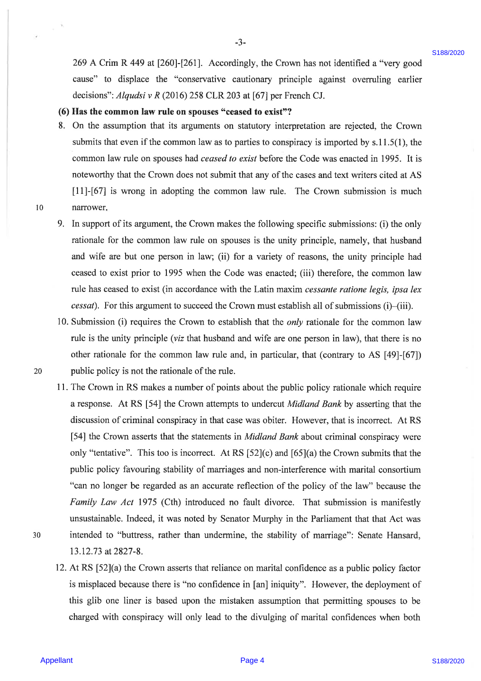269 A Crim R 449 at [260]-[261]. Accordingly, the Crown has not identified a "very good cause" to displace the "conservative cautionary principle against overruling earlier decisions": Alqudsi v R (2016) 258 CLR 203 at [67] per French CJ.

-3-

#### (6) Has the common law rule on spouses "ceased to exist"?

- 8. On the assumption that its arguments on statutory interpretation are rejected, the Crown submits that even if the common law as to parties to conspiracy is imported by  $s.11.5(1)$ , the common law rule on spouses had ceased to exist before the Code was enacted in 1995. It is noteworthy that the Crown does not submit that any of the cases and text writers cited at AS [11]-[67] is wrong in adopting the common law rule. The Crown submission is much narrower.
- 10
- In support of its argument, the Crown makes the following specific submissions: (i) the only rationale for the common law rule on spouses is the unity principle, namely, that husband and wife are but one person in law; (ii) for a variety of reasons, the unity principle had ceased to exist prior to 1995 when the Code was enacted; (iii) therefore, the common law rule has ceased to exist (in accordance with the Latin maxim cessante ratione legis, ipsa lex cessat). For this argument to succeed the Crown must establish all of submissions (i)—(iii).
- 10. Submission (i) requires the Crown to establish that the *only* rationale for the common lav rule is the unity principle (viz that husband and wife are one person in law), that there is no other rationale for the common law rule and, in particular, that (contrary to AS [49]-[67]) public policy is not the rationale of the rule.
- 209 A Crian R 449 at [260]-[261]. Accousingly, the Crown has not identified a "wey good<br>counter" to displace the "voluctorwite cantients" perturbel superioris energies of every good<br>elections". Algodar is R (2012) 258 CLR 11. The Crown in RS makes <sup>a</sup> number of points about the public policy rationale which require aresponse. At RS [54] the Crown attempts to undercut Midland Bank by asserting that the discussion of criminal conspiracy in that case was obiter. However, that is incorrect. At RS [54] the Crown asserts that the statements in *Midland Bank* about criminal conspiracy were only "tentative". This too is incorrect. At RS [52](c) and [65](a) the Crown submits that the public policy favouring stability of marriages and non-interference with marital consortium "can no longer be regarded as an accurate reflection of the policy of the law" because the Family Law Act 1975 (Cth) introduced no fault divorce. That submission is manifestly unsustainable. Indeed, it was noted by Senator Murphy in the Parliament that that Act was intended to "buttress, rather than undermine, the stability of marriage": Senate Hansard, 13.12.73 at 2827-8.
	- 12. At RS [52](a) the Crown asserts that reliance on marital confidence as a public policy factor is misplaced because there is "no confidence in [an] iniquity". However, the deployment of this glib one liner is based upon the mistaken assumption that permitting spouses to be charged with conspiracy will only lead to the divulging of marital confidences when both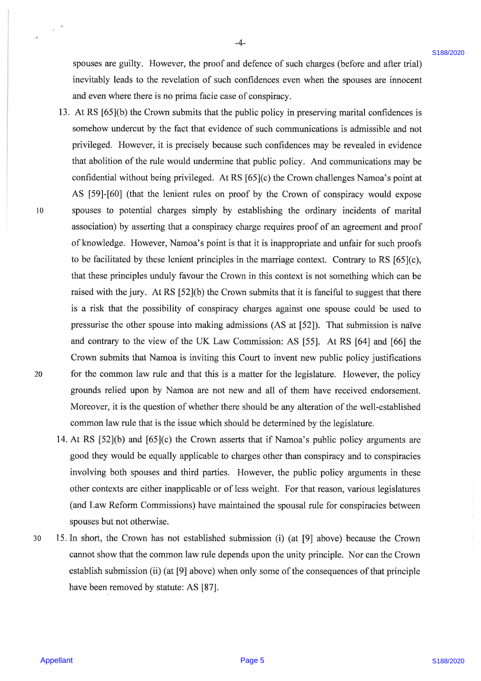-4-

spouses are guilty. However, the proof and defence of such charges (before and after trial) inevitably leads to the revelation of such confidences even when the spouses are innocent and even where there is no prima facie case of conspiracy.

- spanses are poilty. However, the proof and defence of such danges thefore and after util the symbolic has the revention of such contidence perceviline and the contidence of contidence in the symbolic page in the symbolic 13. At RS [65](b) the Crown submits that the public policy in preserving marital confidences is somehow undercut by the fact that evidence of such communications is admissible and not privileged. However, it is precisely because such confidences may be revealed in evidence that abolition of the rule would undermine that public policy. And communications may be confidential without being privileged. At RS [65](c) the Crown challenges Namoa's point at AS [59]-[60] (that the lenient rules on proof by the Crown of conspiracy would expose spouses to potential charges simply by establishing the ordinary incidents of marital association) by asserting that a conspiracy charge requires proof of an agreement and proof of knowledge. However, Namoa's point is that it is inappropriate and unfair for such proofs to be facilitated by these lenient principles in the marriage context. Contrary to RS [65](c), that these principles unduly favour the Crown in this context is not something which can be raised with the jury. At RS [52](b) the Crown submits that it is fanciful to suggest that there is a risk that the possibility of conspiracy charges against one spouse could be used to pressurise the other spouse into making admissions (AS at [52]). That submission is naive and contrary to the view of the UK Law Commission: AS [55]. At RS [64] and [66] the Crown submits that Namoa is inviting this Court to invent new public policy justifications for the common law rule and that this is a matter for the legislature. However, the policy grounds relied upon by Namoa are not new and all of them have received endorsement. Moreover, it is the question of whether there should be any alteration of the well-established common law rule that is the issue which should be determined by the legislature.
	- 14. At RS [52](b) and [65](c) the Crown asserts that if Namoa's public policy arguments are good they would be equally applicable to charges other than conspiracy and to conspiracies involving both spouses and third parties. However, the public policy arguments in these other contexts are either inapplicable or of less weight. For that reason, various legislatures (and Law Reform Commissions) have maintained the spousal rule for conspiracies between spouses but not otherwise.
- 30 15. In short, the Crown has not established submission (i) (at [9] above) because the Crown cannot show that the common law rule depends upon the unity principle. Nor can the Crown establish submission (ii) (at [9] above) when only some of the consequences of that principle have been removed by statute: AS [87].

10

 $\tau$  .